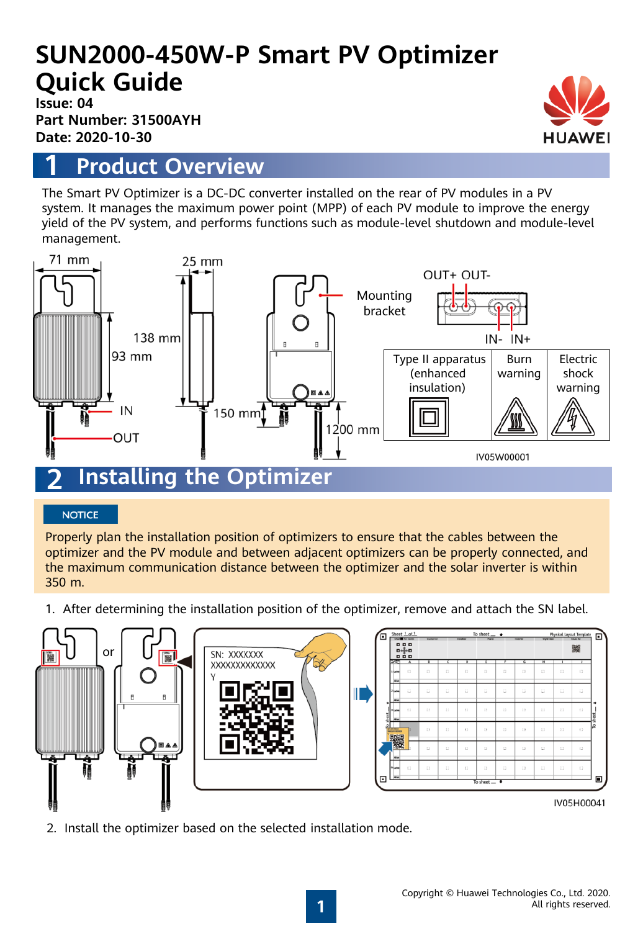# **SUN2000-450W-P Smart PV Optimizer Quick Guide**

**Issue: 04 Part Number: 31500AYH Date: 2020-10-30**

### **1 Product Overview**

The Smart PV Optimizer is a DC-DC converter installed on the rear of PV modules in a PV system. It manages the maximum power point (MPP) of each PV module to improve the energy yield of the PV system, and performs functions such as module-level shutdown and module-level management.



#### **NOTICE**

Properly plan the installation position of optimizers to ensure that the cables between the optimizer and the PV module and between adjacent optimizers can be properly connected, and the maximum communication distance between the optimizer and the solar inverter is within 350 m.

1. After determining the installation position of the optimizer, remove and attach the SN label.



2. Install the optimizer based on the selected installation mode.



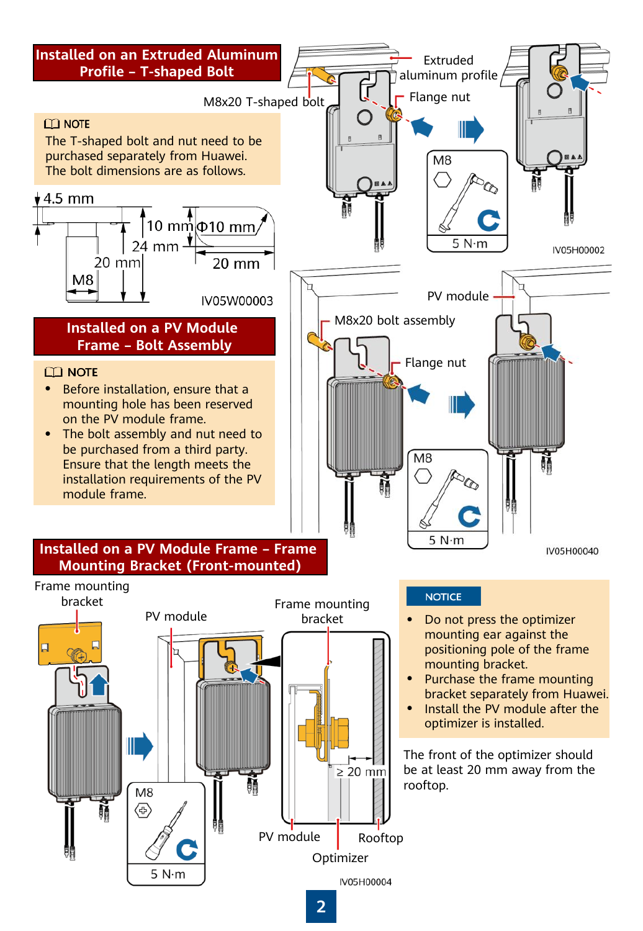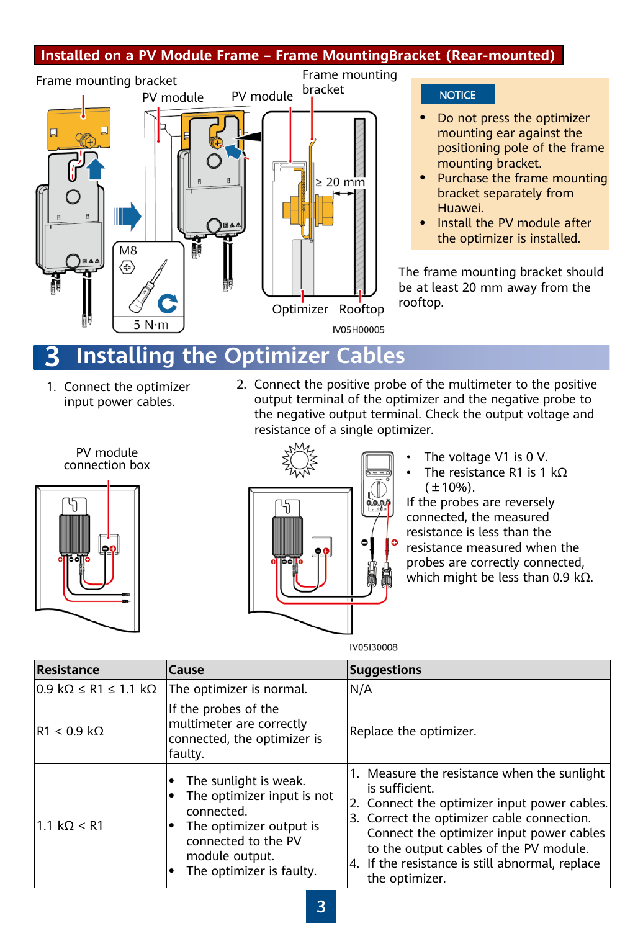### **Installed on a PV Module Frame – Frame MountingBracket (Rear-mounted)**



#### **NOTICE**

- Do not press the optimizer mounting ear against the positioning pole of the frame mounting bracket.
- Purchase the frame mounting bracket separately from Huawei.
- Install the PV module after the optimizer is installed.

The frame mounting bracket should be at least 20 mm away from the rooftop.

### **3 Installing the Optimizer Cables**

- 1. Connect the optimizer input power cables.
- 2. Connect the positive probe of the multimeter to the positive output terminal of the optimizer and the negative probe to the negative output terminal. Check the output voltage and resistance of a single optimizer.





- The voltage V1 is 0 V.
- The resistance R1 is 1 kΩ  $(\pm 10\%)$ .

If the probes are reversely connected, the measured resistance is less than the resistance measured when the probes are correctly connected, which might be less than 0.9 kΩ.

IV05I30008

| Resistance                           | <b>Cause</b>                                                                                                                                                      | <b>Suggestions</b>                                                                                                                                                                                                                                                                                                     |
|--------------------------------------|-------------------------------------------------------------------------------------------------------------------------------------------------------------------|------------------------------------------------------------------------------------------------------------------------------------------------------------------------------------------------------------------------------------------------------------------------------------------------------------------------|
| $0.9$ kΩ ≤ R1 ≤ 1.1 kΩ               | The optimizer is normal.                                                                                                                                          | N/A                                                                                                                                                                                                                                                                                                                    |
| $\mathsf{R1} < 0.9 \mathsf{k}\Omega$ | If the probes of the<br>multimeter are correctly<br>connected, the optimizer is<br>faulty.                                                                        | Replace the optimizer.                                                                                                                                                                                                                                                                                                 |
| 1.1 k $\Omega$ < R1                  | The sunlight is weak.<br>The optimizer input is not<br>connected.<br>The optimizer output is<br>connected to the PV<br>module output.<br>The optimizer is faulty. | 1. Measure the resistance when the sunlight<br>is sufficient.<br>2. Connect the optimizer input power cables.<br>3. Correct the optimizer cable connection.<br>Connect the optimizer input power cables<br>to the output cables of the PV module.<br>4. If the resistance is still abnormal, replace<br>the optimizer. |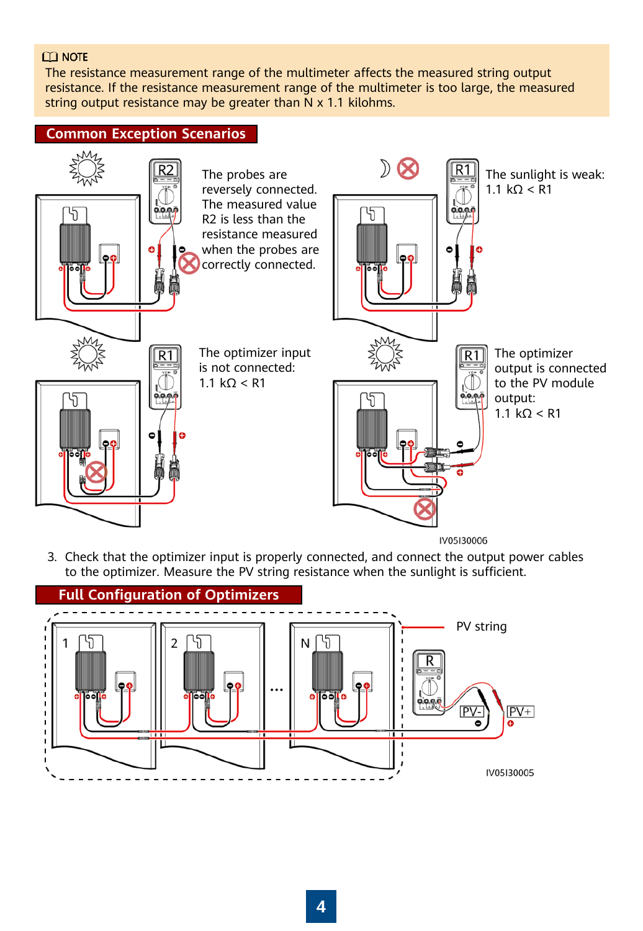#### $CD$  NOTE

The resistance measurement range of the multimeter affects the measured string output resistance. If the resistance measurement range of the multimeter is too large, the measured string output resistance may be greater than  $N \times 1.1$  kilohms.



3. Check that the optimizer input is properly connected, and connect the output power cables to the optimizer. Measure the PV string resistance when the sunlight is sufficient.

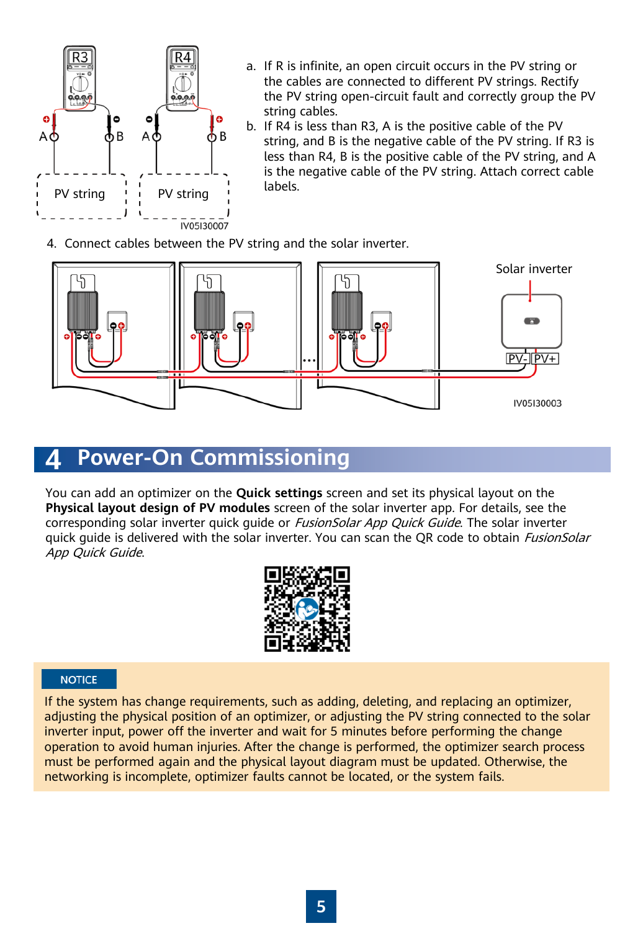

- a. If R is infinite, an open circuit occurs in the PV string or the cables are connected to different PV strings. Rectify the PV string open-circuit fault and correctly group the PV string cables.
- b. If R4 is less than R3, A is the positive cable of the PV string, and B is the negative cable of the PV string. If R3 is less than R4, B is the positive cable of the PV string, and A is the negative cable of the PV string. Attach correct cable labels.
- 4. Connect cables between the PV string and the solar inverter.



### **4 Power-On Commissioning**

You can add an optimizer on the **Quick settings** screen and set its physical layout on the **Physical layout design of PV modules** screen of the solar inverter app. For details, see the corresponding solar inverter quick quide or *FusionSolar App Quick Guide*. The solar inverter quick guide is delivered with the solar inverter. You can scan the OR code to obtain *FusionSolar* App Quick Guide.



#### **NOTICE**

If the system has change requirements, such as adding, deleting, and replacing an optimizer, adjusting the physical position of an optimizer, or adjusting the PV string connected to the solar inverter input, power off the inverter and wait for 5 minutes before performing the change operation to avoid human injuries. After the change is performed, the optimizer search process must be performed again and the physical layout diagram must be updated. Otherwise, the networking is incomplete, optimizer faults cannot be located, or the system fails.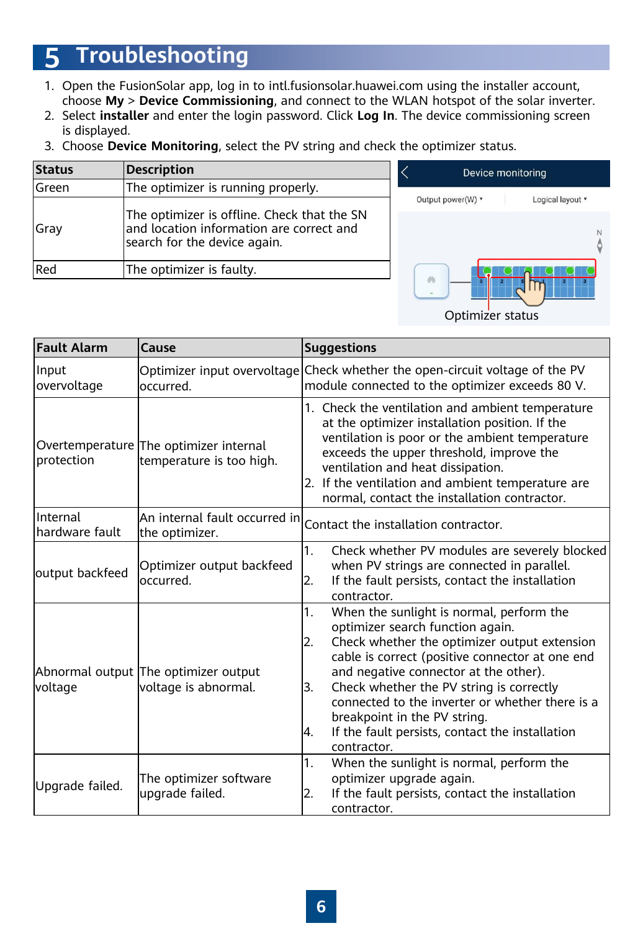# **5 Troubleshooting**

- 1. Open the FusionSolar app, log in to intl.fusionsolar.huawei.com using the installer account, choose **My** > **Device Commissioning**, and connect to the WLAN hotspot of the solar inverter.
- 2. Select **installer** and enter the login password. Click **Log In**. The device commissioning screen is displayed.
- 3. Choose **Device Monitoring**, select the PV string and check the optimizer status.

| <b>Status</b> | <b>Description</b>                                                                                                      |  |
|---------------|-------------------------------------------------------------------------------------------------------------------------|--|
| lGreen        | The optimizer is running properly.                                                                                      |  |
| Gray          | The optimizer is offline. Check that the SN<br>and location information are correct and<br>search for the device again. |  |
| Red           | The optimizer is faulty.                                                                                                |  |



| <b>Fault Alarm</b>         | Cause                                                              | <b>Suggestions</b>                                                                                                                                                                                                                                                                                                                                                                                                                                 |
|----------------------------|--------------------------------------------------------------------|----------------------------------------------------------------------------------------------------------------------------------------------------------------------------------------------------------------------------------------------------------------------------------------------------------------------------------------------------------------------------------------------------------------------------------------------------|
| Input<br>overvoltage       | occurred.                                                          | Optimizer input overvoltage Check whether the open-circuit voltage of the PV<br>module connected to the optimizer exceeds 80 V.                                                                                                                                                                                                                                                                                                                    |
| protection                 | Overtemperature The optimizer internal<br>temperature is too high. | 1. Check the ventilation and ambient temperature<br>at the optimizer installation position. If the<br>ventilation is poor or the ambient temperature<br>exceeds the upper threshold, improve the<br>ventilation and heat dissipation.<br>2. If the ventilation and ambient temperature are<br>normal, contact the installation contractor.                                                                                                         |
| Internal<br>hardware fault | $ $ An internal fault occurred in $ $<br>the optimizer.            | Contact the installation contractor.                                                                                                                                                                                                                                                                                                                                                                                                               |
| output backfeed            | Optimizer output backfeed<br>loccurred.                            | 1.<br>Check whether PV modules are severely blocked<br>when PV strings are connected in parallel.<br>If the fault persists, contact the installation<br>2.<br>contractor.                                                                                                                                                                                                                                                                          |
| <b>voltage</b>             | Abnormal output The optimizer output<br>voltage is abnormal.       | When the sunlight is normal, perform the<br>1.<br>optimizer search function again.<br>Check whether the optimizer output extension<br>12.<br>cable is correct (positive connector at one end<br>and negative connector at the other).<br>Check whether the PV string is correctly<br>3.<br>connected to the inverter or whether there is a<br>breakpoint in the PV string.<br>If the fault persists, contact the installation<br>4.<br>contractor. |
| Upgrade failed.            | The optimizer software<br>upgrade failed.                          | $\mathbf{1}$ .<br>When the sunlight is normal, perform the<br>optimizer upgrade again.<br>If the fault persists, contact the installation<br>2.<br>contractor.                                                                                                                                                                                                                                                                                     |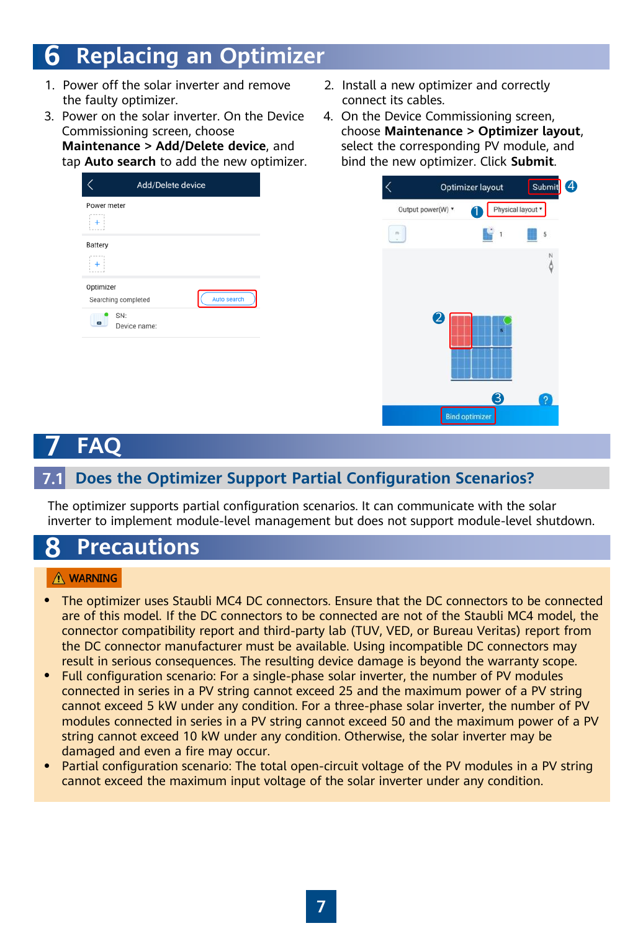# **6 Replacing an Optimizer**

- 1. Power off the solar inverter and remove the faulty optimizer.
- 3. Power on the solar inverter. On the Device Commissioning screen, choose **Maintenance > Add/Delete device**, and

tap **Auto search** to add the new optimizer.

| Add/Delete device                               |  |
|-------------------------------------------------|--|
| Power meter<br>$- - - - -$<br>٠                 |  |
| Battery                                         |  |
| Optimizer<br>Auto search<br>Searching completed |  |
| SN:<br>$\overline{a}$<br>Device name:           |  |
|                                                 |  |

- 2. Install a new optimizer and correctly connect its cables.
- 4. On the Device Commissioning screen, choose **Maintenance > Optimizer layout**, select the corresponding PV module, and bind the new optimizer. Click **Submit**.



# **7 FAQ**

### **7.1 Does the Optimizer Support Partial Configuration Scenarios?**

The optimizer supports partial configuration scenarios. It can communicate with the solar inverter to implement module-level management but does not support module-level shutdown.

# **8 Precautions**

#### A WARNING

- The optimizer uses Staubli MC4 DC connectors. Ensure that the DC connectors to be connected are of this model. If the DC connectors to be connected are not of the Staubli MC4 model, the connector compatibility report and third-party lab (TUV, VED, or Bureau Veritas) report from the DC connector manufacturer must be available. Using incompatible DC connectors may result in serious consequences. The resulting device damage is beyond the warranty scope.
- Full configuration scenario: For a single-phase solar inverter, the number of PV modules connected in series in a PV string cannot exceed 25 and the maximum power of a PV string cannot exceed 5 kW under any condition. For a three-phase solar inverter, the number of PV modules connected in series in a PV string cannot exceed 50 and the maximum power of a PV string cannot exceed 10 kW under any condition. Otherwise, the solar inverter may be damaged and even a fire may occur.
- Partial configuration scenario: The total open-circuit voltage of the PV modules in a PV string cannot exceed the maximum input voltage of the solar inverter under any condition.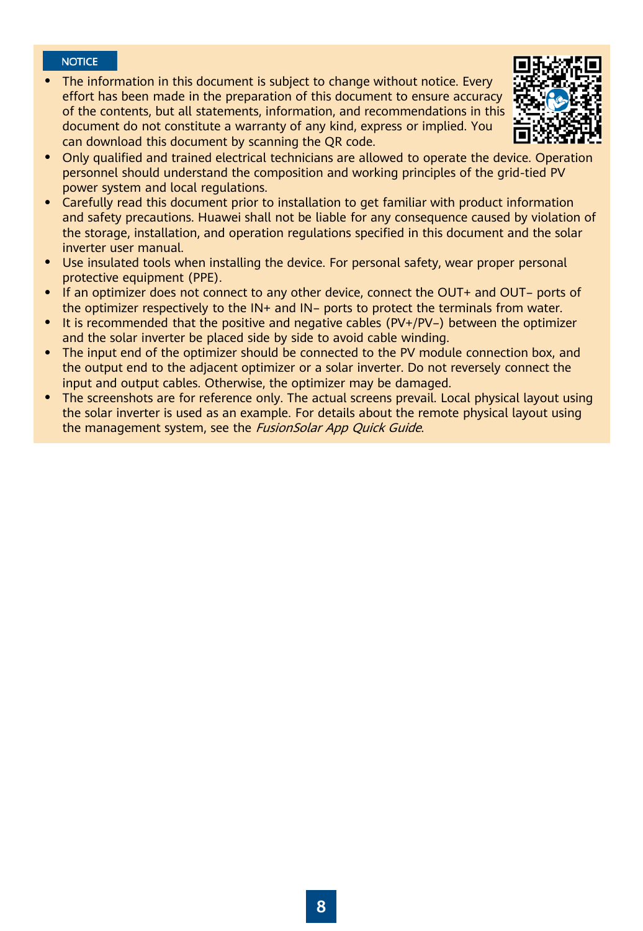#### **NOTICE**

• The information in this document is subject to change without notice. Every effort has been made in the preparation of this document to ensure accuracy of the contents, but all statements, information, and recommendations in this document do not constitute a warranty of any kind, express or implied. You can download this document by scanning the QR code.



- Only qualified and trained electrical technicians are allowed to operate the device. Operation personnel should understand the composition and working principles of the grid-tied PV power system and local regulations.
- Carefully read this document prior to installation to get familiar with product information and safety precautions. Huawei shall not be liable for any consequence caused by violation of the storage, installation, and operation regulations specified in this document and the solar inverter user manual.
- Use insulated tools when installing the device. For personal safety, wear proper personal protective equipment (PPE).
- If an optimizer does not connect to any other device, connect the OUT+ and OUT- ports of the optimizer respectively to the IN+ and IN– ports to protect the terminals from water.
- It is recommended that the positive and negative cables (PV+/PV–) between the optimizer and the solar inverter be placed side by side to avoid cable winding.
- The input end of the optimizer should be connected to the PV module connection box, and the output end to the adjacent optimizer or a solar inverter. Do not reversely connect the input and output cables. Otherwise, the optimizer may be damaged.
- The screenshots are for reference only. The actual screens prevail. Local physical layout using the solar inverter is used as an example. For details about the remote physical layout using the management system, see the FusionSolar App Quick Guide.